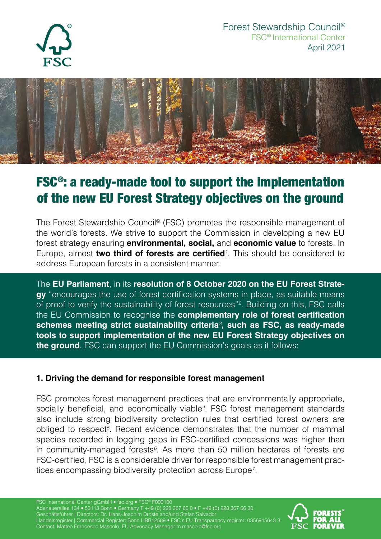



# FSC®: a ready-made tool to support the implementation of the new EU Forest Strategy objectives on the ground

The Forest Stewardship Council® (FSC) promotes the responsible management of the world's forests. We strive to support the Commission in developing a new EU forest strategy ensuring **environmental, social,** and **economic value** to forests. In Europe, almost **two third of forests are certified***<sup>1</sup>* . This should be considered to address European forests in a consistent manner.

The **EU Parliament**, in its **resolution of 8 October 2020 on the EU Forest Strategy** "encourages the use of forest certification systems in place, as suitable means of proof to verify the sustainability of forest resources"*<sup>2</sup>* . Building on this, FSC calls the EU Commission to recognise the **complementary role of forest certification schemes meeting strict sustainability criteria***<sup>3</sup>* **, such as FSC, as ready-made tools to support implementation of the new EU Forest Strategy objectives on the ground**. FSC can support the EU Commission's goals as it follows:

### **1. Driving the demand for responsible forest management**

FSC promotes forest management practices that are environmentally appropriate, socially beneficial, and economically viable*<sup>4</sup>* . FSC forest management standards also include strong biodiversity protection rules that certified forest owners are obliged to respect*<sup>5</sup>* . Recent evidence demonstrates that the number of mammal species recorded in logging gaps in FSC-certified concessions was higher than in community-managed forests*<sup>6</sup>* . As more than 50 million hectares of forests are FSC-certified, FSC is a considerable driver for responsible forest management practices encompassing biodiversity protection across Europe*<sup>7</sup>* .

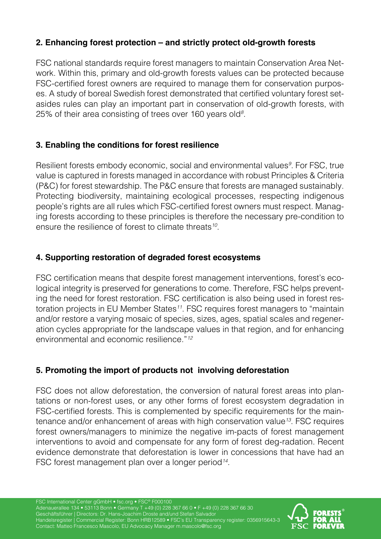## **2. Enhancing forest protection – and strictly protect old-growth forests**

FSC national standards require forest managers to maintain Conservation Area Network. Within this, primary and old-growth forests values can be protected because FSC-certified forest owners are required to manage them for conservation purposes. A study of boreal Swedish forest demonstrated that certified voluntary forest setasides rules can play an important part in conservation of old-growth forests, with 25% of their area consisting of trees over 160 years old*<sup>8</sup>* .

## **3. Enabling the conditions for forest resilience**

Resilient forests embody economic, social and environmental values*<sup>9</sup>* . For FSC, true value is captured in forests managed in accordance with robust Principles & Criteria (P&C) for forest stewardship. The P&C ensure that forests are managed sustainably. Protecting biodiversity, maintaining ecological processes, respecting indigenous people's rights are all rules which FSC-certified forest owners must respect. Managing forests according to these principles is therefore the necessary pre-condition to ensure the resilience of forest to climate threats*<sup>10</sup>*.

## **4. Supporting restoration of degraded forest ecosystems**

FSC certification means that despite forest management interventions, forest's ecological integrity is preserved for generations to come. Therefore, FSC helps preventing the need for forest restoration. FSC certification is also being used in forest restoration projects in EU Member States*<sup>11</sup>*. FSC requires forest managers to "maintain and/or restore a varying mosaic of species, sizes, ages, spatial scales and regeneration cycles appropriate for the landscape values in that region, and for enhancing environmental and economic resilience."*<sup>12</sup>*

## **5. Promoting the import of products not involving deforestation**

FSC does not allow deforestation, the conversion of natural forest areas into plantations or non-forest uses, or any other forms of forest ecosystem degradation in FSC-certified forests. This is complemented by specific requirements for the maintenance and/or enhancement of areas with high conservation value*<sup>13</sup>*. FSC requires forest owners/managers to minimize the negative im-pacts of forest management interventions to avoid and compensate for any form of forest deg-radation. Recent evidence demonstrate that deforestation is lower in concessions that have had an FSC forest management plan over a longer period*14*.